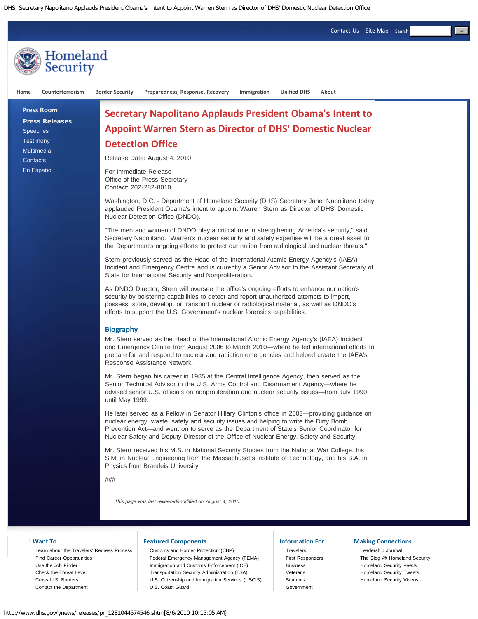[Contact Us](http://www.dhs.gov/xutil/contactus.shtm) [Site Map](http://www.dhs.gov/xutil/sitemap.shtm) Search

Go



## **I Want To**

[Learn about the Travelers' Redress Process](http://www.dhs.gov/files/programs/gc_1169673653081.shtm) [Find Career Opportunities](http://www.dhs.gov/xabout/careers/content_multi_image_0014.shtm) [Use the Job Finder](http://www.dhs.gov/xabout/careers/jobfinder.shtm) [Check the Threat Level](http://www.dhs.gov/files/programs/Copy_of_press_release_0046.shtm) [Cross U.S. Borders](http://www.dhs.gov/files/crossingborders/) [Contact the Department](http://www.dhs.gov/xutil/contactus.shtm)

## **Featured Components**

[Customs and Border Protection \(CBP\)](http://cbp.gov/) [Federal Emergency Management Agency \(FEMA\)](http://www.fema.gov/) [Immigration and Customs Enforcement \(ICE\)](http://www.ice.gov/) [Transportation Security Administration \(TSA\)](http://www.tsa.gov/) [U.S. Citizenship and Immigration Services \(USCIS\)](http://www.uscis.gov/) [U.S. Coast Guard](http://uscg.mil/)

## **Information For**

[Travelers](http://www.dhs.gov/files/travelers.shtm) [First Responders](http://www.dhs.gov/xfrstresp/) [Business](http://www.dhs.gov/xbsnss/) [Veterans](http://www.dhs.gov/xcitizens/veterans.shtm) **[Students](http://www.dhs.gov/xstudents/)** [Government](http://www.dhs.gov/xgovt/)

## **Making Connections**

[Leadership Journal](http://journal.dhs.gov/) [The Blog @ Homeland Security](http://blog.dhs.gov/) [Homeland Security Feeds](http://www.dhs.gov/xutil/feeds.shtm) [Homeland Security Tweets](http://www.twitter.com/dhsjournal/) [Homeland Security Videos](http://youtube.com/ushomelandsecurity)